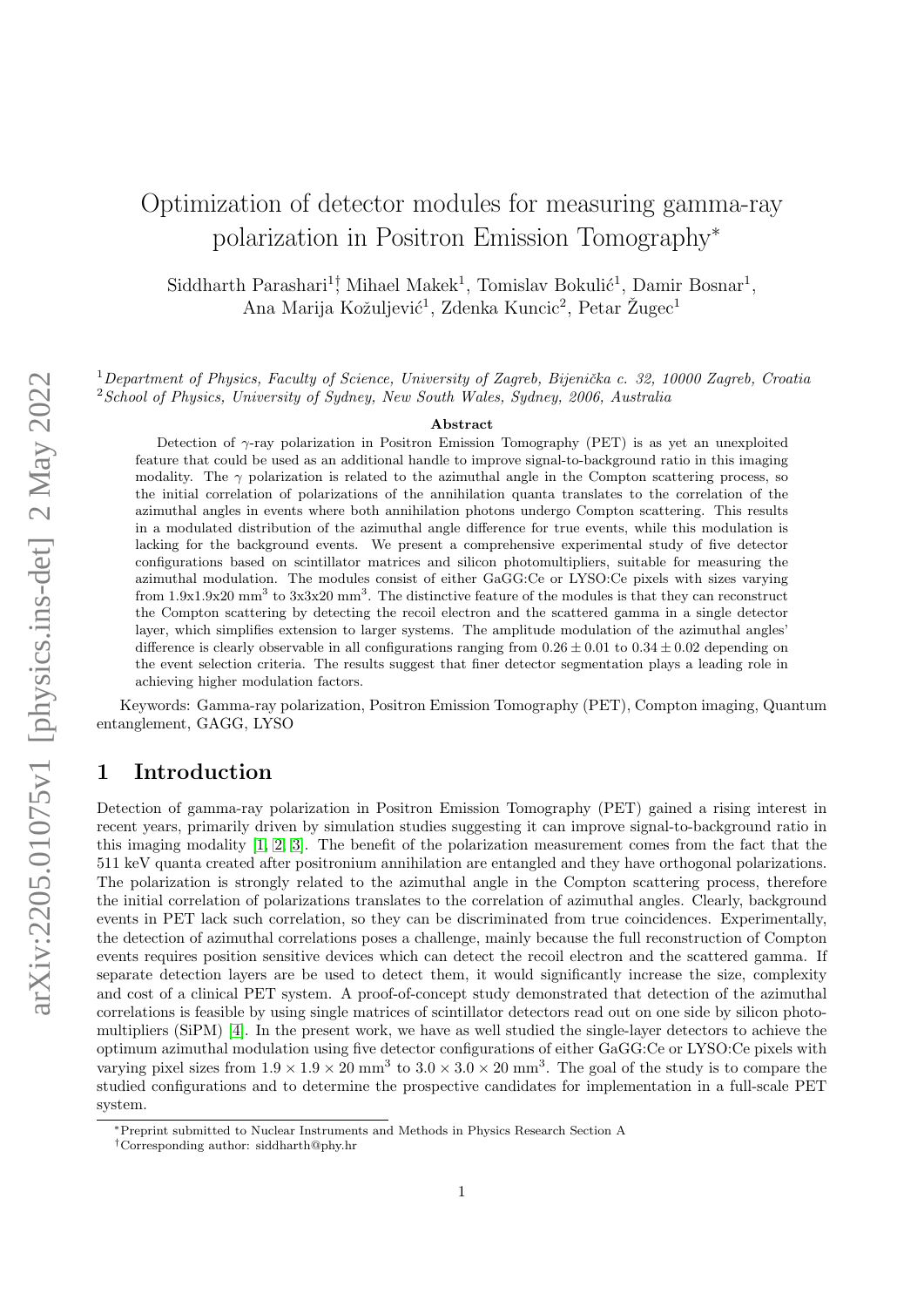# Optimization of detector modules for measuring gamma-ray polarization in Positron Emission Tomography<sup>∗</sup>

Siddharth Parashari<sup>1</sup>, Mihael Makek<sup>1</sup>, Tomislav Bokulić<sup>1</sup>, Damir Bosnar<sup>1</sup>, Ana Marija Kožuljević<sup>1</sup>, Zdenka Kuncic<sup>2</sup>, Petar Žugec<sup>1</sup>

<sup>1</sup>Department of Physics, Faculty of Science, University of Zagreb, Bijenička c. 32, 10000 Zagreb, Croatia <sup>2</sup> School of Physics, University of Sydney, New South Wales, Sydney, 2006, Australia

#### Abstract

Detection of γ-ray polarization in Positron Emission Tomography (PET) is as yet an unexploited feature that could be used as an additional handle to improve signal-to-background ratio in this imaging modality. The  $\gamma$  polarization is related to the azimuthal angle in the Compton scattering process, so the initial correlation of polarizations of the annihilation quanta translates to the correlation of the azimuthal angles in events where both annihilation photons undergo Compton scattering. This results in a modulated distribution of the azimuthal angle difference for true events, while this modulation is lacking for the background events. We present a comprehensive experimental study of five detector configurations based on scintillator matrices and silicon photomultipliers, suitable for measuring the azimuthal modulation. The modules consist of either GaGG:Ce or LYSO:Ce pixels with sizes varying from 1.9x1.9x20  $\text{mm}^3$  to 3x3x20  $\text{mm}^3$ . The distinctive feature of the modules is that they can reconstruct the Compton scattering by detecting the recoil electron and the scattered gamma in a single detector layer, which simplifies extension to larger systems. The amplitude modulation of the azimuthal angles' difference is clearly observable in all configurations ranging from  $0.26 \pm 0.01$  to  $0.34 \pm 0.02$  depending on the event selection criteria. The results suggest that finer detector segmentation plays a leading role in achieving higher modulation factors.

Keywords: Gamma-ray polarization, Positron Emission Tomography (PET), Compton imaging, Quantum entanglement, GAGG, LYSO

## 1 Introduction

Detection of gamma-ray polarization in Positron Emission Tomography (PET) gained a rising interest in recent years, primarily driven by simulation studies suggesting it can improve signal-to-background ratio in this imaging modality [\[1,](#page-6-0) [2,](#page-6-1) [3\]](#page-6-2). The benefit of the polarization measurement comes from the fact that the 511 keV quanta created after positronium annihilation are entangled and they have orthogonal polarizations. The polarization is strongly related to the azimuthal angle in the Compton scattering process, therefore the initial correlation of polarizations translates to the correlation of azimuthal angles. Clearly, background events in PET lack such correlation, so they can be discriminated from true coincidences. Experimentally, the detection of azimuthal correlations poses a challenge, mainly because the full reconstruction of Compton events requires position sensitive devices which can detect the recoil electron and the scattered gamma. If separate detection layers are be used to detect them, it would significantly increase the size, complexity and cost of a clinical PET system. A proof-of-concept study demonstrated that detection of the azimuthal correlations is feasible by using single matrices of scintillator detectors read out on one side by silicon photomultipliers (SiPM) [\[4\]](#page-6-3). In the present work, we have as well studied the single-layer detectors to achieve the optimum azimuthal modulation using five detector configurations of either GaGG:Ce or LYSO:Ce pixels with varying pixel sizes from  $1.9 \times 1.9 \times 20$  mm<sup>3</sup> to  $3.0 \times 3.0 \times 20$  mm<sup>3</sup>. The goal of the study is to compare the studied configurations and to determine the prospective candidates for implementation in a full-scale PET system.

<sup>∗</sup>Preprint submitted to Nuclear Instruments and Methods in Physics Research Section A

<sup>†</sup>Corresponding author: siddharth@phy.hr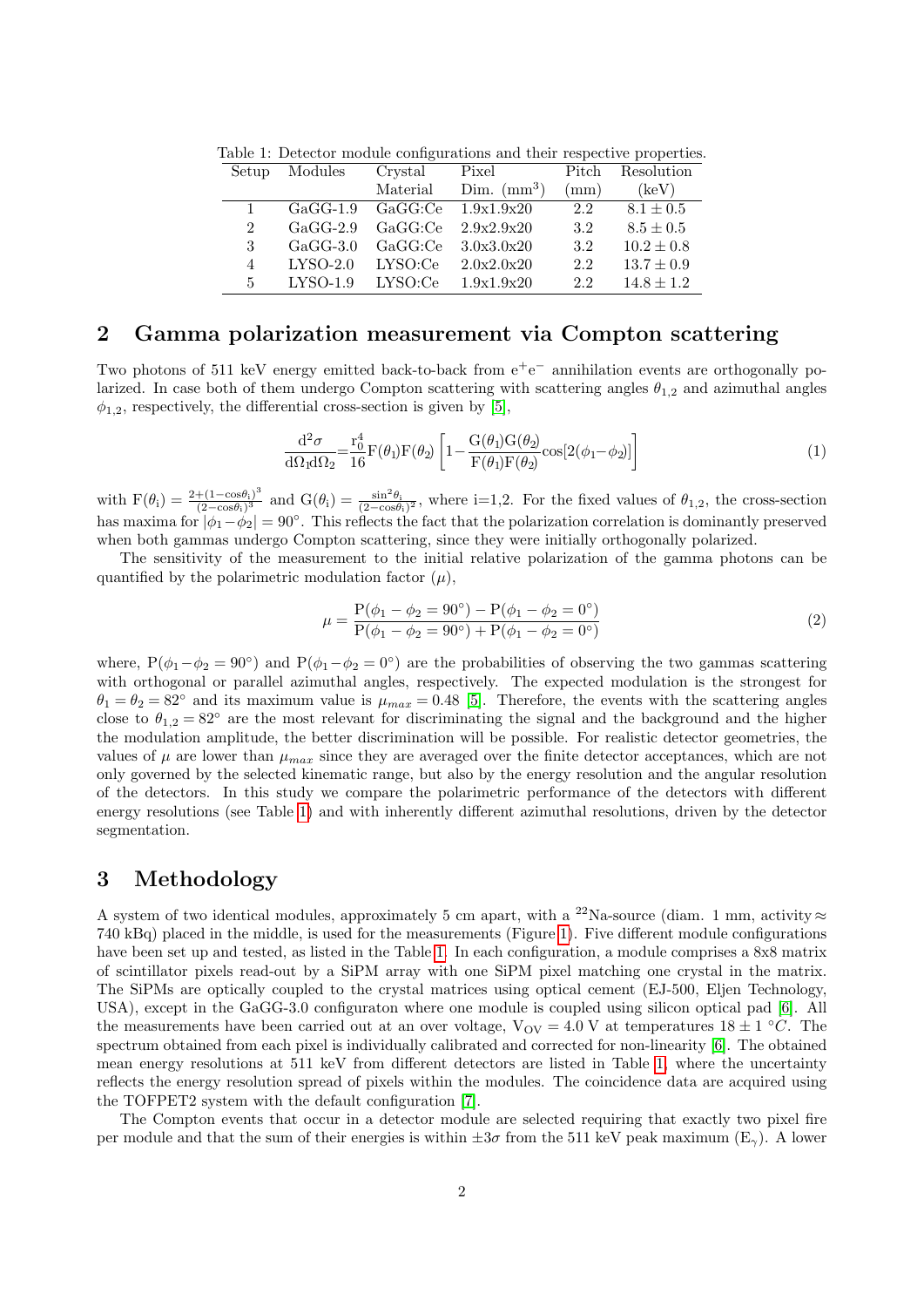Table 1: Detector module configurations and their respective properties.

<span id="page-1-0"></span>

| Setup          | Modules    | Crystal  | Pixel                | Pitch | Resolution     |
|----------------|------------|----------|----------------------|-------|----------------|
|                |            | Material | Dim. $\text{(mm}^3)$ | (mm)  | (keV)          |
| 1              | $GaGG-1.9$ | GaGG:Ce  | 1.9x1.9x20           | 2.2   | $8.1 \pm 0.5$  |
| $\overline{2}$ | $GaGG-2.9$ | GaGG:Ce  | 2.9x2.9x20           | 3.2   | $8.5 \pm 0.5$  |
| 3              | $GaGG-3.0$ | GaGG:Ce  | 3.0x3.0x20           | 3.2   | $10.2 \pm 0.8$ |
| $\overline{4}$ | $LYSO-2.0$ | LYSO:Ce  | 2.0x2.0x20           | 2.2   | $13.7 \pm 0.9$ |
| 5              | $LYSO-1.9$ | LYSO:Ce  | 1.9x1.9x20           | 2.2   | $14.8 \pm 1.2$ |

#### 2 Gamma polarization measurement via Compton scattering

Two photons of 511 keV energy emitted back-to-back from  $e^+e^-$  annihilation events are orthogonally polarized. In case both of them undergo Compton scattering with scattering angles  $\theta_{1,2}$  and azimuthal angles  $\phi_{1,2}$ , respectively, the differential cross-section is given by [\[5\]](#page-6-4),

$$
\frac{\mathrm{d}^2 \sigma}{\mathrm{d}\Omega_1 \mathrm{d}\Omega_2} = \frac{\mathrm{r}_0^4}{16} \mathrm{F}(\theta_1) \mathrm{F}(\theta_2) \left[ 1 - \frac{\mathrm{G}(\theta_1) \mathrm{G}(\theta_2)}{\mathrm{F}(\theta_1) \mathrm{F}(\theta_2)} \cos[2(\phi_1 - \phi_2)] \right]
$$
(1)

with  $F(\theta_i) = \frac{2 + (1 - \cos \theta_i)^3}{(2 - \cos \theta_i)^3}$  $\frac{+(1-\cos\theta_i)^3}{(2-\cos\theta_i)^3}$  and  $G(\theta_i) = \frac{\sin^2\theta_i}{(2-\cos\theta_i)^2}$ , where i=1,2. For the fixed values of  $\theta_{1,2}$ , the cross-section has maxima for  $|\phi_1-\phi_2|=90^\circ$ . This reflects the fact that the polarization correlation is dominantly preserved when both gammas undergo Compton scattering, since they were initially orthogonally polarized.

The sensitivity of the measurement to the initial relative polarization of the gamma photons can be quantified by the polarimetric modulation factor  $(\mu)$ ,

$$
\mu = \frac{P(\phi_1 - \phi_2 = 90^\circ) - P(\phi_1 - \phi_2 = 0^\circ)}{P(\phi_1 - \phi_2 = 90^\circ) + P(\phi_1 - \phi_2 = 0^\circ)}
$$
\n(2)

where,  $P(\phi_1 - \phi_2 = 90^\circ)$  and  $P(\phi_1 - \phi_2 = 0^\circ)$  are the probabilities of observing the two gammas scattering with orthogonal or parallel azimuthal angles, respectively. The expected modulation is the strongest for  $\theta_1 = \theta_2 = 82^\circ$  and its maximum value is  $\mu_{max} = 0.48$  [\[5\]](#page-6-4). Therefore, the events with the scattering angles close to  $\theta_{1,2} = 82^\circ$  are the most relevant for discriminating the signal and the background and the higher the modulation amplitude, the better discrimination will be possible. For realistic detector geometries, the values of  $\mu$  are lower than  $\mu_{max}$  since they are averaged over the finite detector acceptances, which are not only governed by the selected kinematic range, but also by the energy resolution and the angular resolution of the detectors. In this study we compare the polarimetric performance of the detectors with different energy resolutions (see Table [1\)](#page-1-0) and with inherently different azimuthal resolutions, driven by the detector segmentation.

# 3 Methodology

A system of two identical modules, approximately 5 cm apart, with a <sup>22</sup>Na-source (diam. 1 mm, activity  $\approx$ 740 kBq) placed in the middle, is used for the measurements (Figure [1\)](#page-2-0). Five different module configurations have been set up and tested, as listed in the Table [1.](#page-1-0) In each configuration, a module comprises a 8x8 matrix of scintillator pixels read-out by a SiPM array with one SiPM pixel matching one crystal in the matrix. The SiPMs are optically coupled to the crystal matrices using optical cement (EJ-500, Eljen Technology, USA), except in the GaGG-3.0 configuraton where one module is coupled using silicon optical pad [\[6\]](#page-6-5). All the measurements have been carried out at an over voltage,  $V_{\text{OV}} = 4.0 \text{ V}$  at temperatures  $18 \pm 1 \text{ }^{\circ}C$ . The spectrum obtained from each pixel is individually calibrated and corrected for non-linearity [\[6\]](#page-6-5). The obtained mean energy resolutions at 511 keV from different detectors are listed in Table [1,](#page-1-0) where the uncertainty reflects the energy resolution spread of pixels within the modules. The coincidence data are acquired using the TOFPET2 system with the default configuration [\[7\]](#page-6-6).

The Compton events that occur in a detector module are selected requiring that exactly two pixel fire per module and that the sum of their energies is within  $\pm 3\sigma$  from the 511 keV peak maximum (E<sub>γ</sub>). A lower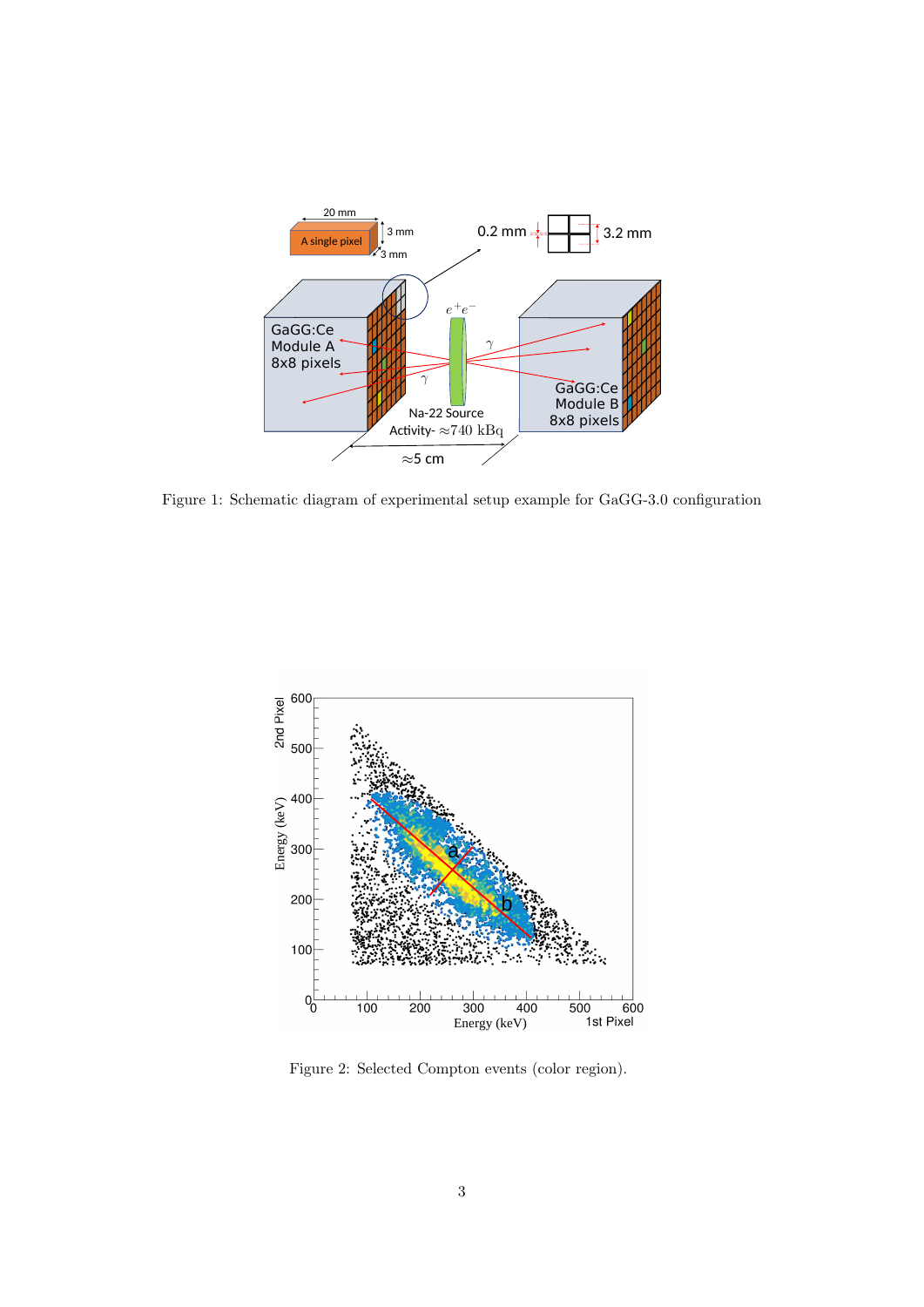

<span id="page-2-0"></span>Figure 1: Schematic diagram of experimental setup example for GaGG-3.0 configuration



<span id="page-2-1"></span>Figure 2: Selected Compton events (color region).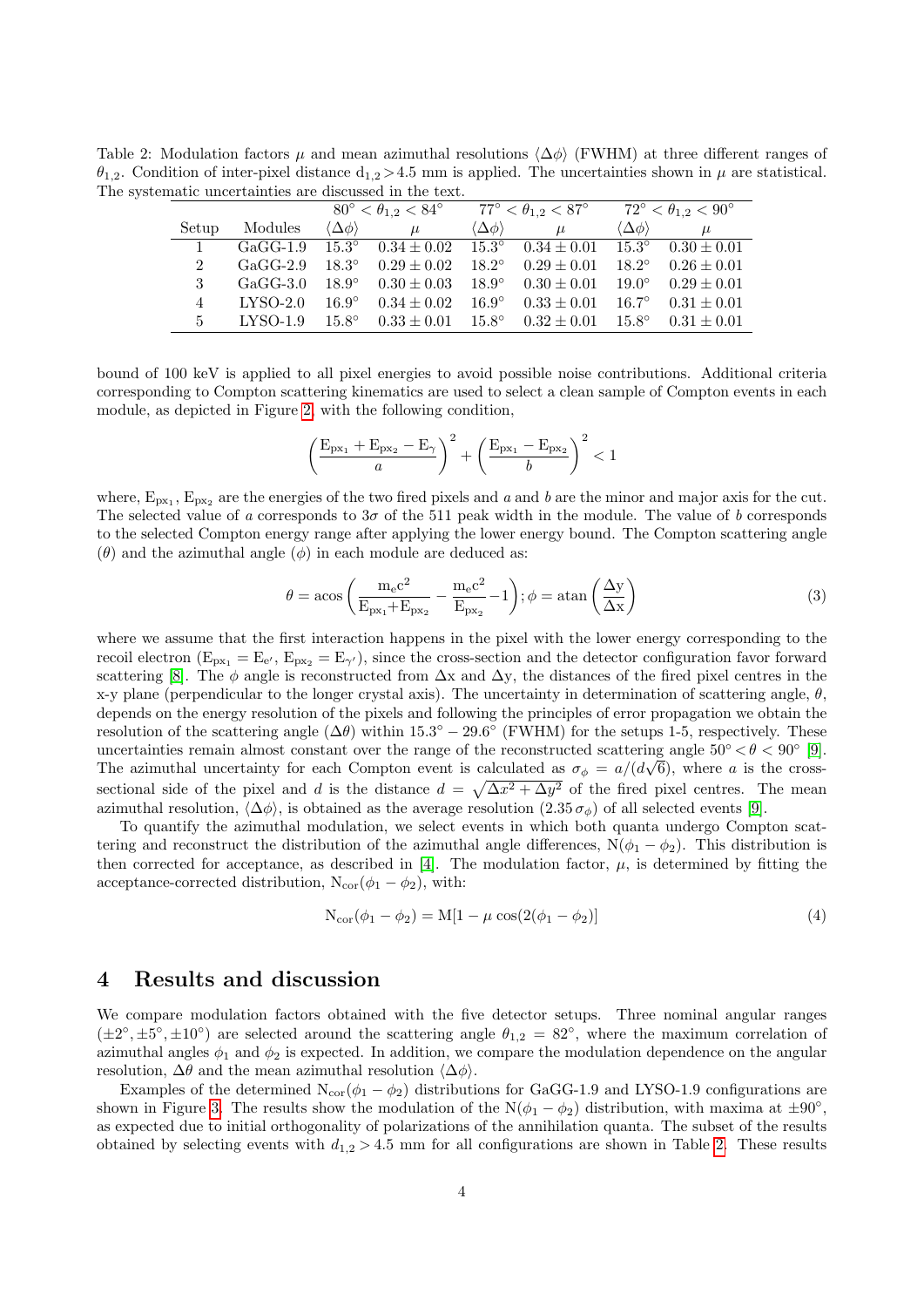Table 2: Modulation factors  $\mu$  and mean azimuthal resolutions  $\langle \Delta \phi \rangle$  (FWHM) at three different ranges of  $\theta_{1,2}$ . Condition of inter-pixel distance  $d_{1,2} > 4.5$  mm is applied. The uncertainties shown in  $\mu$  are statistical. The systematic uncertainties are discussed in the text.

<span id="page-3-0"></span>

|               |            |                               |                                                               | $80^{\circ} < \theta_{1.2} < 84^{\circ}$ $77^{\circ} < \theta_{1.2} < 87^{\circ}$ $72^{\circ} < \theta_{1.2} < 90^{\circ}$ |                                                                                                       |                               |                                |
|---------------|------------|-------------------------------|---------------------------------------------------------------|----------------------------------------------------------------------------------------------------------------------------|-------------------------------------------------------------------------------------------------------|-------------------------------|--------------------------------|
| Setup         | Modules    | $\langle \Delta \phi \rangle$ | $\mu$                                                         | $\langle \Delta \phi \rangle$                                                                                              | $\mu$                                                                                                 | $\langle \Delta \phi \rangle$ | $\mu$                          |
|               |            |                               |                                                               |                                                                                                                            | GaGG-1.9 $15.3^{\circ}$ $0.34 \pm 0.02$ $15.3^{\circ}$ $0.34 \pm 0.01$ $15.3^{\circ}$ $0.30 \pm 0.01$ |                               |                                |
| $2^{\circ}$   | $GaGG-2.9$ |                               | $18.3^{\circ}$ $0.29 \pm 0.02$                                |                                                                                                                            | $18.2^{\circ}$ $0.29 \pm 0.01$ $18.2^{\circ}$ $0.26 \pm 0.01$                                         |                               |                                |
| $\mathcal{R}$ | $GaGG-3.0$ |                               | $18.9^{\circ}$ $0.30 \pm 0.03$                                |                                                                                                                            | $18.9^{\circ}$ $0.30 \pm 0.01$ $19.0^{\circ}$ $0.29 \pm 0.01$                                         |                               |                                |
| 4             | $LYSO-2.0$ |                               | $16.9^{\circ}$ $0.34 \pm 0.02$                                |                                                                                                                            | $16.9^{\circ}$ $0.33 \pm 0.01$ $16.7^{\circ}$                                                         |                               | $0.31 \pm 0.01$                |
| $5 -$         | LYSO-1.9   |                               | $15.8^{\circ}$ $0.33 \pm 0.01$ $15.8^{\circ}$ $0.32 \pm 0.01$ |                                                                                                                            |                                                                                                       |                               | $15.8^{\circ}$ $0.31 \pm 0.01$ |

bound of 100 keV is applied to all pixel energies to avoid possible noise contributions. Additional criteria corresponding to Compton scattering kinematics are used to select a clean sample of Compton events in each module, as depicted in Figure [2,](#page-2-1) with the following condition,

$$
\left(\frac{E_{px_1} + E_{px_2} - E_{\gamma}}{a}\right)^2 + \left(\frac{E_{px_1} - E_{px_2}}{b}\right)^2 < 1
$$

where,  $E_{px_1}$ ,  $E_{px_2}$  are the energies of the two fired pixels and a and b are the minor and major axis for the cut. The selected value of a corresponds to  $3\sigma$  of the 511 peak width in the module. The value of b corresponds to the selected Compton energy range after applying the lower energy bound. The Compton scattering angle  $(\theta)$  and the azimuthal angle  $(\phi)$  in each module are deduced as:

$$
\theta = \text{acos}\left(\frac{m_e c^2}{E_{px_1} + E_{px_2}} - \frac{m_e c^2}{E_{px_2}} - 1\right); \phi = \text{atan}\left(\frac{\Delta y}{\Delta x}\right)
$$
\n(3)

where we assume that the first interaction happens in the pixel with the lower energy corresponding to the recoil electron  $(E_{px_1} = E_{e'}, E_{px_2} = E_{\gamma'})$ , since the cross-section and the detector configuration favor forward scattering [\[8\]](#page-6-7). The  $\phi$  angle is reconstructed from  $\Delta x$  and  $\Delta y$ , the distances of the fired pixel centres in the x-y plane (perpendicular to the longer crystal axis). The uncertainty in determination of scattering angle,  $\theta$ , depends on the energy resolution of the pixels and following the principles of error propagation we obtain the resolution of the scattering angle  $(\Delta \theta)$  within 15.3<sup>°</sup> − 29.6<sup>°</sup> (FWHM) for the setups 1-5, respectively. These uncertainties remain almost constant over the range of the reconstructed scattering angle  $50° < \theta < 90°$  [\[9\]](#page-6-8). The azimuthal uncertainty for each Compton event is calculated as  $\sigma_{\phi} = a/(d\sqrt{6})$ , where a is the crosssectional side of the pixel and d is the distance  $d = \sqrt{\Delta x^2 + \Delta y^2}$  of the fired pixel centres. The mean azimuthal resolution,  $\langle \Delta \phi \rangle$ , is obtained as the average resolution  $(2.35 \sigma_{\phi})$  of all selected events [\[9\]](#page-6-8).

To quantify the azimuthal modulation, we select events in which both quanta undergo Compton scattering and reconstruct the distribution of the azimuthal angle differences,  $N(\phi_1 - \phi_2)$ . This distribution is then corrected for acceptance, as described in [\[4\]](#page-6-3). The modulation factor,  $\mu$ , is determined by fitting the acceptance-corrected distribution,  $N_{cor}(\phi_1 - \phi_2)$ , with:

$$
N_{\text{cor}}(\phi_1 - \phi_2) = M[1 - \mu \cos(2(\phi_1 - \phi_2))]
$$
\n(4)

#### 4 Results and discussion

We compare modulation factors obtained with the five detector setups. Three nominal angular ranges  $(\pm 2^{\circ}, \pm 5^{\circ}, \pm 10^{\circ})$  are selected around the scattering angle  $\theta_{1,2} = 82^{\circ}$ , where the maximum correlation of azimuthal angles  $\phi_1$  and  $\phi_2$  is expected. In addition, we compare the modulation dependence on the angular resolution,  $\Delta\theta$  and the mean azimuthal resolution  $\langle \Delta\phi \rangle$ .

Examples of the determined  $N_{cor}(\phi_1 - \phi_2)$  distributions for GaGG-1.9 and LYSO-1.9 configurations are shown in Figure [3.](#page-4-0) The results show the modulation of the  $N(\phi_1 - \phi_2)$  distribution, with maxima at  $\pm 90^{\circ}$ , as expected due to initial orthogonality of polarizations of the annihilation quanta. The subset of the results obtained by selecting events with  $d_{1,2} > 4.5$  mm for all configurations are shown in Table [2.](#page-3-0) These results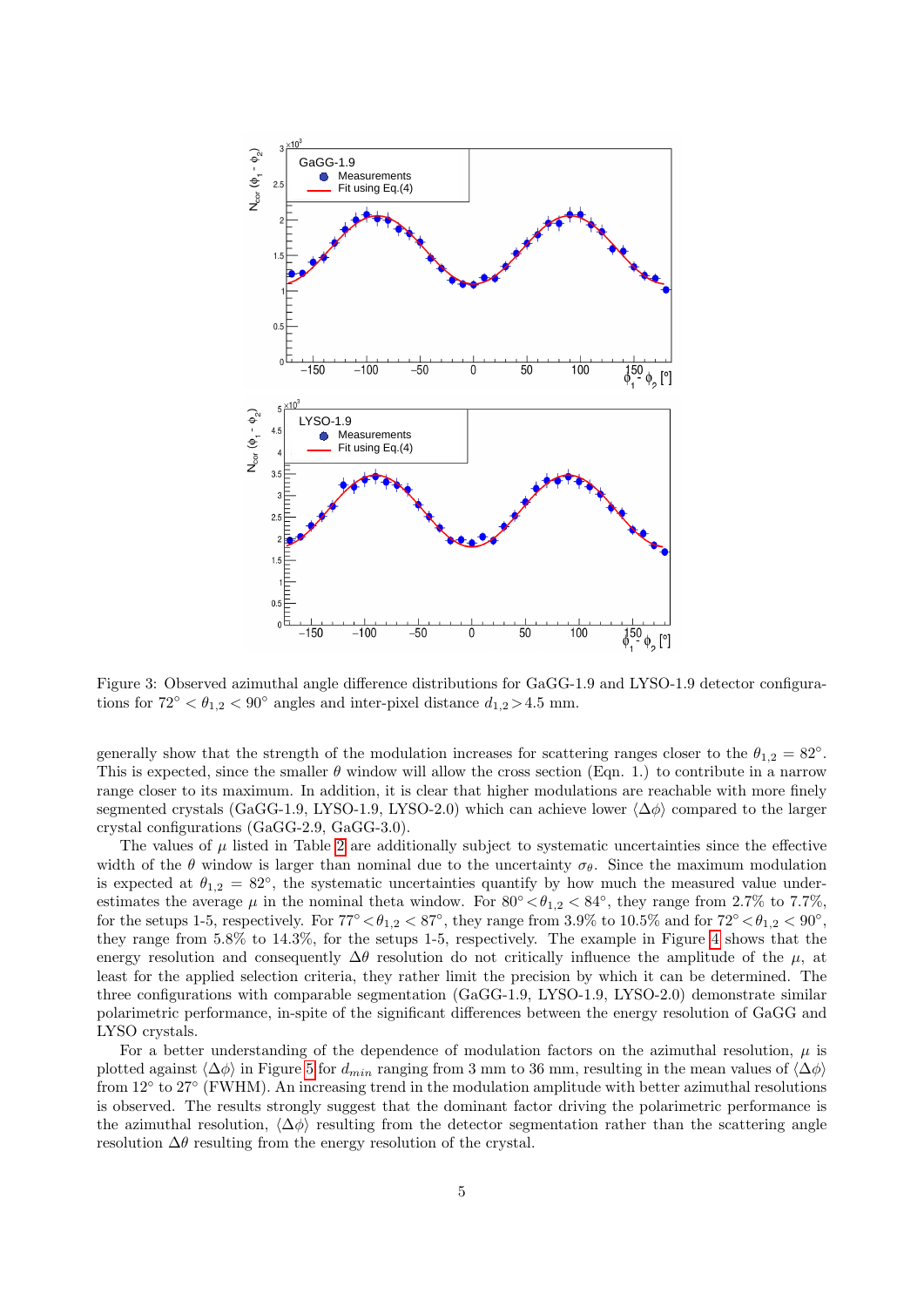

<span id="page-4-0"></span>Figure 3: Observed azimuthal angle difference distributions for GaGG-1.9 and LYSO-1.9 detector configurations for  $72^{\circ} < \theta_{1,2} < 90^{\circ}$  angles and inter-pixel distance  $d_{1,2} > 4.5$  mm.

generally show that the strength of the modulation increases for scattering ranges closer to the  $\theta_{1,2} = 82^\circ$ . This is expected, since the smaller  $\theta$  window will allow the cross section (Eqn. 1.) to contribute in a narrow range closer to its maximum. In addition, it is clear that higher modulations are reachable with more finely segmented crystals (GaGG-1.9, LYSO-1.9, LYSO-2.0) which can achieve lower  $\langle \Delta \phi \rangle$  compared to the larger crystal configurations (GaGG-2.9, GaGG-3.0).

The values of  $\mu$  listed in Table [2](#page-3-0) are additionally subject to systematic uncertainties since the effective width of the  $\theta$  window is larger than nominal due to the uncertainty  $\sigma_{\theta}$ . Since the maximum modulation is expected at  $\theta_{1,2} = 82^{\circ}$ , the systematic uncertainties quantify by how much the measured value underestimates the average  $\mu$  in the nominal theta window. For 80°  $\lt \theta_{1,2} \lt 84^\circ$ , they range from 2.7% to 7.7%, for the setups 1-5, respectively. For  $77° < \theta_{1,2} < 87°$ , they range from 3.9% to 10.5% and for  $72° < \theta_{1,2} < 90°$ , they range from 5.8% to 14.3%, for the setups 1-5, respectively. The example in Figure [4](#page-5-0) shows that the energy resolution and consequently  $\Delta\theta$  resolution do not critically influence the amplitude of the  $\mu$ , at least for the applied selection criteria, they rather limit the precision by which it can be determined. The three configurations with comparable segmentation (GaGG-1.9, LYSO-1.9, LYSO-2.0) demonstrate similar polarimetric performance, in-spite of the significant differences between the energy resolution of GaGG and LYSO crystals.

For a better understanding of the dependence of modulation factors on the azimuthal resolution,  $\mu$  is plotted against  $\langle \Delta \phi \rangle$  in Figure [5](#page-6-9) for  $d_{min}$  ranging from 3 mm to 36 mm, resulting in the mean values of  $\langle \Delta \phi \rangle$ from 12° to 27° (FWHM). An increasing trend in the modulation amplitude with better azimuthal resolutions is observed. The results strongly suggest that the dominant factor driving the polarimetric performance is the azimuthal resolution,  $\langle \Delta \phi \rangle$  resulting from the detector segmentation rather than the scattering angle resolution  $\Delta\theta$  resulting from the energy resolution of the crystal.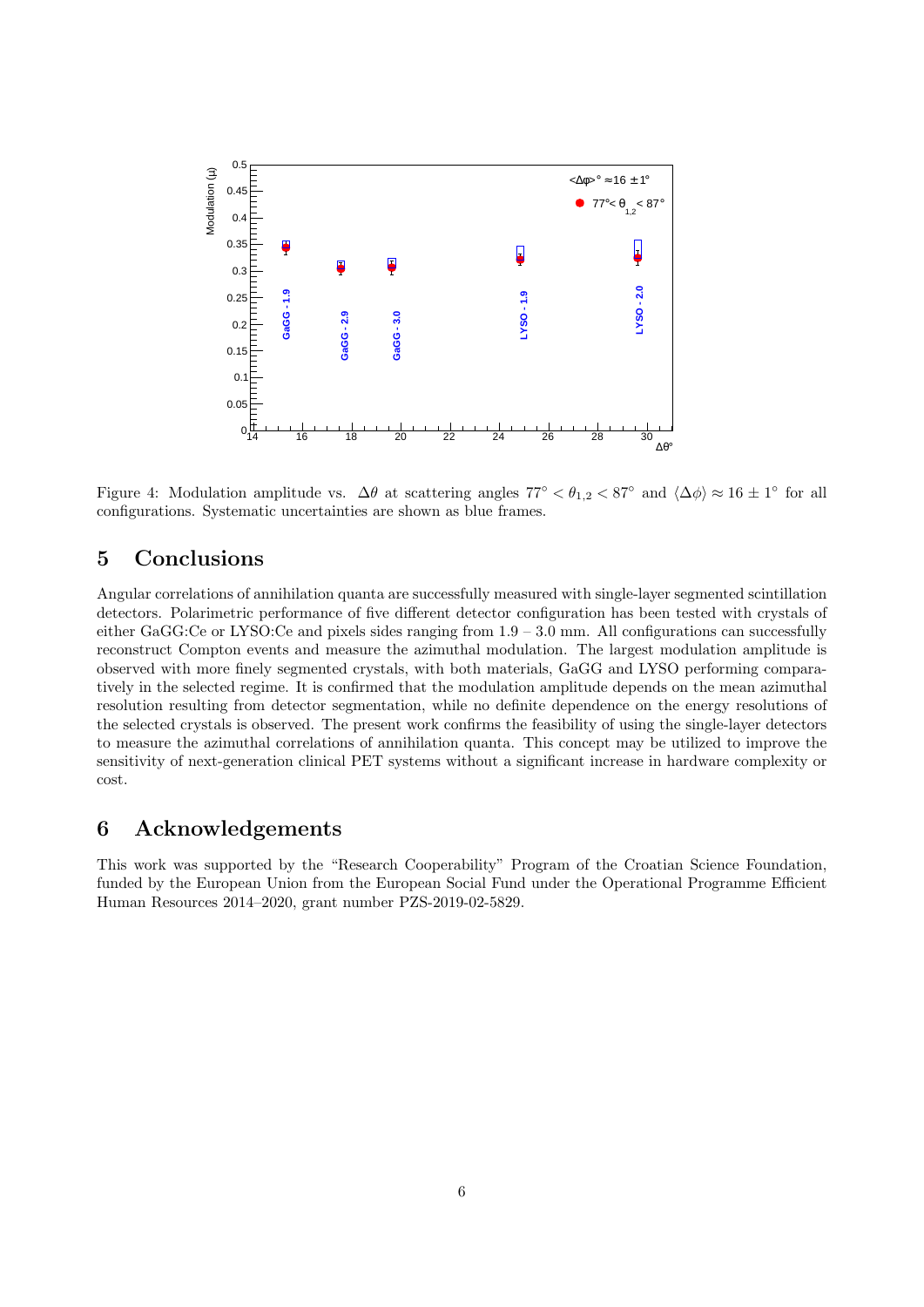

<span id="page-5-0"></span>Figure 4: Modulation amplitude vs.  $\Delta\theta$  at scattering angles  $77^{\circ} < \theta_{1,2} < 87^{\circ}$  and  $\langle \Delta\phi \rangle \approx 16 \pm 1^{\circ}$  for all configurations. Systematic uncertainties are shown as blue frames.

# 5 Conclusions

Angular correlations of annihilation quanta are successfully measured with single-layer segmented scintillation detectors. Polarimetric performance of five different detector configuration has been tested with crystals of either GaGG:Ce or LYSO:Ce and pixels sides ranging from  $1.9 - 3.0$  mm. All configurations can successfully reconstruct Compton events and measure the azimuthal modulation. The largest modulation amplitude is observed with more finely segmented crystals, with both materials, GaGG and LYSO performing comparatively in the selected regime. It is confirmed that the modulation amplitude depends on the mean azimuthal resolution resulting from detector segmentation, while no definite dependence on the energy resolutions of the selected crystals is observed. The present work confirms the feasibility of using the single-layer detectors to measure the azimuthal correlations of annihilation quanta. This concept may be utilized to improve the sensitivity of next-generation clinical PET systems without a significant increase in hardware complexity or cost.

#### 6 Acknowledgements

This work was supported by the "Research Cooperability" Program of the Croatian Science Foundation, funded by the European Union from the European Social Fund under the Operational Programme Efficient Human Resources 2014–2020, grant number PZS-2019-02-5829.